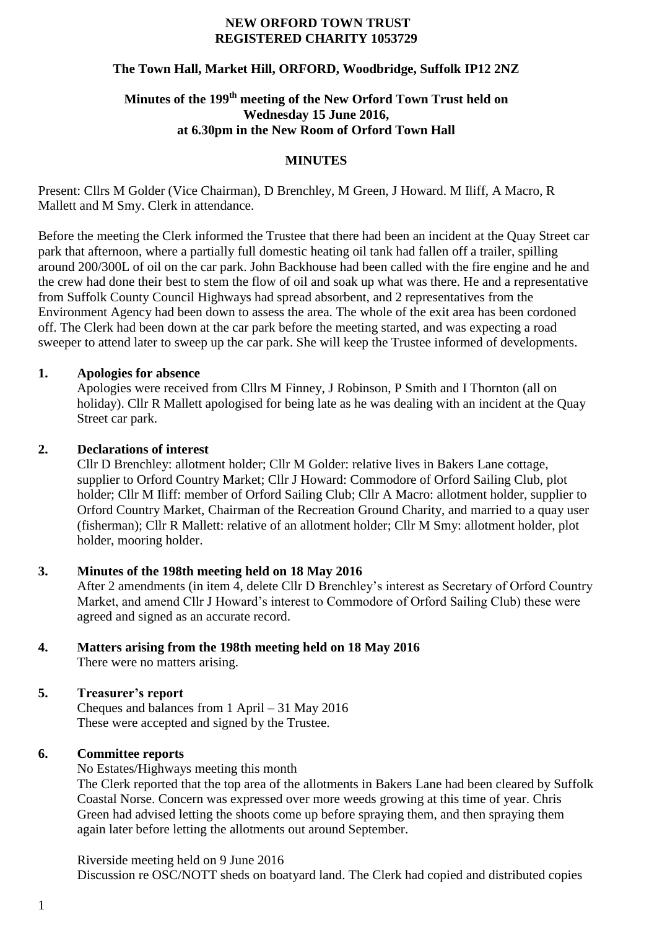#### **NEW ORFORD TOWN TRUST REGISTERED CHARITY 1053729**

## **The Town Hall, Market Hill, ORFORD, Woodbridge, Suffolk IP12 2NZ**

# **Minutes of the 199th meeting of the New Orford Town Trust held on Wednesday 15 June 2016, at 6.30pm in the New Room of Orford Town Hall**

### **MINUTES**

Present: Cllrs M Golder (Vice Chairman), D Brenchley, M Green, J Howard. M Iliff, A Macro, R Mallett and M Smy. Clerk in attendance.

Before the meeting the Clerk informed the Trustee that there had been an incident at the Quay Street car park that afternoon, where a partially full domestic heating oil tank had fallen off a trailer, spilling around 200/300L of oil on the car park. John Backhouse had been called with the fire engine and he and the crew had done their best to stem the flow of oil and soak up what was there. He and a representative from Suffolk County Council Highways had spread absorbent, and 2 representatives from the Environment Agency had been down to assess the area. The whole of the exit area has been cordoned off. The Clerk had been down at the car park before the meeting started, and was expecting a road sweeper to attend later to sweep up the car park. She will keep the Trustee informed of developments.

### **1. Apologies for absence**

Apologies were received from Cllrs M Finney, J Robinson, P Smith and I Thornton (all on holiday). Cllr R Mallett apologised for being late as he was dealing with an incident at the Quay Street car park.

### **2. Declarations of interest**

Cllr D Brenchley: allotment holder; Cllr M Golder: relative lives in Bakers Lane cottage, supplier to Orford Country Market; Cllr J Howard: Commodore of Orford Sailing Club, plot holder; Cllr M Iliff: member of Orford Sailing Club; Cllr A Macro: allotment holder, supplier to Orford Country Market, Chairman of the Recreation Ground Charity, and married to a quay user (fisherman); Cllr R Mallett: relative of an allotment holder; Cllr M Smy: allotment holder, plot holder, mooring holder.

### **3. Minutes of the 198th meeting held on 18 May 2016**

After 2 amendments (in item 4, delete Cllr D Brenchley's interest as Secretary of Orford Country Market, and amend Cllr J Howard's interest to Commodore of Orford Sailing Club) these were agreed and signed as an accurate record.

## **4. Matters arising from the 198th meeting held on 18 May 2016** There were no matters arising.

### **5. Treasurer's report**

Cheques and balances from 1 April – 31 May 2016 These were accepted and signed by the Trustee.

## **6. Committee reports**

No Estates/Highways meeting this month

The Clerk reported that the top area of the allotments in Bakers Lane had been cleared by Suffolk Coastal Norse. Concern was expressed over more weeds growing at this time of year. Chris Green had advised letting the shoots come up before spraying them, and then spraying them again later before letting the allotments out around September.

Riverside meeting held on 9 June 2016 Discussion re OSC/NOTT sheds on boatyard land. The Clerk had copied and distributed copies